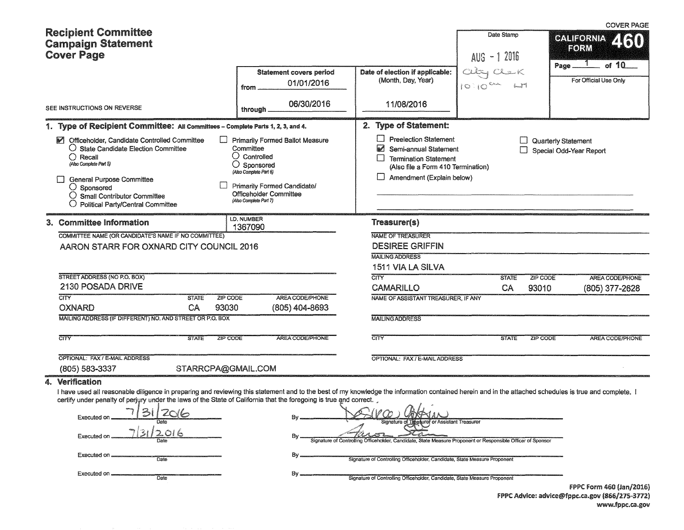|    | <b>Recipient Committee</b><br><b>Campaign Statement</b><br><b>Cover Page</b>                                                                                                                                                                                                                                                                                                                                                   |                                                                                                                                                                                                                   |                                                                                                                                                                                                                                                                                                                                        | Date Stamp<br>$AUS - 12016$ | <b>COVER PAGE</b><br><b>CALIFORNIA</b><br>ZRO<br>FORM<br>of 10             |
|----|--------------------------------------------------------------------------------------------------------------------------------------------------------------------------------------------------------------------------------------------------------------------------------------------------------------------------------------------------------------------------------------------------------------------------------|-------------------------------------------------------------------------------------------------------------------------------------------------------------------------------------------------------------------|----------------------------------------------------------------------------------------------------------------------------------------------------------------------------------------------------------------------------------------------------------------------------------------------------------------------------------------|-----------------------------|----------------------------------------------------------------------------|
|    |                                                                                                                                                                                                                                                                                                                                                                                                                                | <b>Statement covers period</b><br>01/01/2016<br>from                                                                                                                                                              | Date of election if applicable:<br>(Month, Day, Year)                                                                                                                                                                                                                                                                                  | $10-10$                     | Page<br>For Official Use Only                                              |
|    | SEE INSTRUCTIONS ON REVERSE                                                                                                                                                                                                                                                                                                                                                                                                    | 06/30/2016<br>through                                                                                                                                                                                             | 11/08/2016                                                                                                                                                                                                                                                                                                                             |                             |                                                                            |
|    | 1. Type of Recipient Committee: All Committees - Complete Parts 1, 2, 3, and 4.                                                                                                                                                                                                                                                                                                                                                |                                                                                                                                                                                                                   | 2. Type of Statement:                                                                                                                                                                                                                                                                                                                  |                             |                                                                            |
|    | Officeholder, Candidate Controlled Committee<br>$\mathsf{I}$<br>$\bigcirc$ State Candidate Election Committee<br>$\bigcirc$ Recall<br>(Also Complete Part 5)<br><b>General Purpose Committee</b><br>$\bigcirc$ Sponsored<br>$\bigcirc$ Small Contributor Committee<br>O Political Party/Central Committee                                                                                                                      | <b>Primarily Formed Ballot Measure</b><br>Committee<br>$\bigcirc$ Controlled<br>$\bigcirc$ Sponsored<br>(Also Complete Part 6)<br>Primarily Formed Candidate/<br>Officeholder Committee<br>(Also Complete Part 7) | <b>Preelection Statement</b><br><b>B</b><br>Semi-annual Statement<br><b>Termination Statement</b><br>IJ<br>(Also file a Form 410 Termination)<br>Amendment (Explain below)                                                                                                                                                             |                             | <b>Quarterly Statement</b><br>Special Odd-Year Report                      |
|    | 3. Committee Information                                                                                                                                                                                                                                                                                                                                                                                                       | I.D. NUMBER<br>1367090                                                                                                                                                                                            | Treasurer(s)                                                                                                                                                                                                                                                                                                                           |                             |                                                                            |
|    | COMMITTEE NAME (OR CANDIDATE'S NAME IF NO COMMITTEE)                                                                                                                                                                                                                                                                                                                                                                           |                                                                                                                                                                                                                   | NAME OF TREASURER                                                                                                                                                                                                                                                                                                                      |                             |                                                                            |
|    | AARON STARR FOR OXNARD CITY COUNCIL 2016                                                                                                                                                                                                                                                                                                                                                                                       |                                                                                                                                                                                                                   | <b>DESIREE GRIFFIN</b>                                                                                                                                                                                                                                                                                                                 |                             |                                                                            |
|    |                                                                                                                                                                                                                                                                                                                                                                                                                                |                                                                                                                                                                                                                   | <b>MAILING ADDRESS</b>                                                                                                                                                                                                                                                                                                                 |                             |                                                                            |
|    | STREET ADDRESS (NO P.O. BOX)                                                                                                                                                                                                                                                                                                                                                                                                   |                                                                                                                                                                                                                   | 1511 VIA LA SILVA                                                                                                                                                                                                                                                                                                                      |                             |                                                                            |
|    | 2130 POSADA DRIVE                                                                                                                                                                                                                                                                                                                                                                                                              |                                                                                                                                                                                                                   | <b>CITY</b><br><b>CAMARILLO</b>                                                                                                                                                                                                                                                                                                        | <b>STATE</b><br>CA          | ZIP CODE<br><b>AREA CODE/PHONE</b><br>93010<br>(805) 377-2628              |
|    | $\overline{\text{CITY}}$<br><b>ZIP CODE</b><br><b>STATE</b>                                                                                                                                                                                                                                                                                                                                                                    | AREA CODE/PHONE                                                                                                                                                                                                   | NAME OF ASSISTANT TREASURER, IF ANY                                                                                                                                                                                                                                                                                                    |                             |                                                                            |
|    | CA<br>93030<br><b>OXNARD</b>                                                                                                                                                                                                                                                                                                                                                                                                   | (805) 404-8693                                                                                                                                                                                                    |                                                                                                                                                                                                                                                                                                                                        |                             |                                                                            |
|    | MAILING ADDRESS (IF DIFFERENT) NO. AND STREET OR P.O. BOX                                                                                                                                                                                                                                                                                                                                                                      |                                                                                                                                                                                                                   | <b>MAILING ADDRESS</b>                                                                                                                                                                                                                                                                                                                 |                             |                                                                            |
|    | $\overline{\text{CITY}}$<br><b>STATE</b><br><b>ZIP CODE</b>                                                                                                                                                                                                                                                                                                                                                                    | <b>AREA CODE/PHONE</b>                                                                                                                                                                                            | CITY                                                                                                                                                                                                                                                                                                                                   | <b>STATE</b>                | ZIP CODE<br><b>AREA CODE/PHONE</b>                                         |
|    | <b>OPTIONAL: FAX / E-MAIL ADDRESS</b>                                                                                                                                                                                                                                                                                                                                                                                          |                                                                                                                                                                                                                   | OPTIONAL: FAX / E-MAIL ADDRESS                                                                                                                                                                                                                                                                                                         |                             |                                                                            |
|    | (805) 583-3337<br>STARRCPA@GMAIL.COM                                                                                                                                                                                                                                                                                                                                                                                           |                                                                                                                                                                                                                   |                                                                                                                                                                                                                                                                                                                                        |                             |                                                                            |
| 4. | Verification<br>I have used all reasonable diligence in preparing and reviewing this statement and to the best of my knowledge the information contained herein and in the attached schedules is true and complete. I<br>certify under penalty of perjury under the laws of the State of California that the foregoing is true and correct.<br>Executed on<br><b>Executed on</b><br>Executed on<br>Date<br>Executed on<br>Date | Bγ.<br>Bγ                                                                                                                                                                                                         | $\Delta l$<br>Sionature of TJ<br>surer or Assistant Treasurer<br>Signature of Controlling Officeholder, Candidate, State Measure Proponent or Responsible Officer of Sponsor<br>Signature of Controlling Officeholder, Candidate, State Measure Proponent<br>Signature of Controlling Officeholder, Candidate, State Measure Proponent |                             | FPPC Form 460 (Jan/2016)<br>FPPC Advice: advice@fppc.ca.gov (866/275-3772) |
|    |                                                                                                                                                                                                                                                                                                                                                                                                                                |                                                                                                                                                                                                                   |                                                                                                                                                                                                                                                                                                                                        |                             | www.fppc.ca.gov                                                            |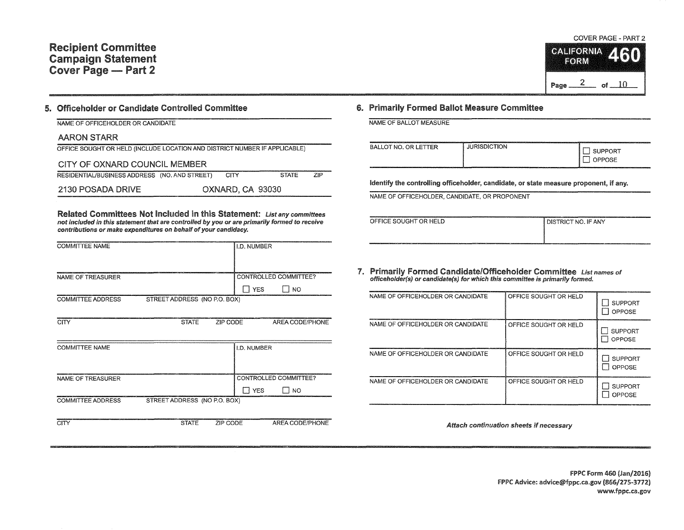## Recipient Committee Campaign Statement Cover Page - Part 2

### 5. Officeholder or Candidate Controlled Committee

| NAME OF OFFICEHOLDER OR CANDIDATE |  |
|-----------------------------------|--|
|-----------------------------------|--|

| AARON STARR |
|-------------|
|-------------|

|                                | OFFICE SOUGHT OR HELD (INCLUDE LOCATION AND DISTRICT NUMBER IF APPLICABLE) |
|--------------------------------|----------------------------------------------------------------------------|
| CITY OF OVNIADD COUNCIL MEMBER |                                                                            |

| <u>UILLUL UANAND UUUNUILIVILINULIN</u>             |                  |              |      |
|----------------------------------------------------|------------------|--------------|------|
| RESIDENTIAL/BUSINESS ADDRESS (NO. AND STREET) CITY |                  | <b>STATE</b> | ZIP. |
| 2130 POSADA DRIVE                                  | OXNARD, CA 93030 |              |      |

Related Committees Not Included in this Statement: List any committees not included in this statement that are controlled by you or are primarily formed to receive contributions or make expenditures on behalf of your candidacy.

| <b>COMMITTEE NAME</b>    |                              |          | I.D. NUMBER        |                       |
|--------------------------|------------------------------|----------|--------------------|-----------------------|
|                          |                              |          |                    |                       |
|                          |                              |          |                    |                       |
|                          |                              |          |                    |                       |
| <b>NAME OF TREASURER</b> |                              |          |                    | CONTROLLED COMMITTEE? |
|                          |                              |          | <b>T</b> YES       | I NO                  |
| <b>COMMITTEE ADDRESS</b> | STREET ADDRESS (NO P.O. BOX) |          |                    |                       |
|                          |                              |          |                    |                       |
|                          |                              |          |                    |                       |
| <b>CITY</b>              | <b>STATE</b>                 | ZIP CODE |                    | AREA CODE/PHONE       |
|                          |                              |          |                    |                       |
|                          |                              |          |                    |                       |
| <b>COMMITTEE NAME</b>    |                              |          | <b>I.D. NUMBER</b> |                       |
|                          |                              |          |                    |                       |
|                          |                              |          |                    |                       |
|                          |                              |          |                    |                       |
| <b>NAME OF TREASURER</b> |                              |          |                    | CONTROLLED COMMITTEE? |
|                          |                              |          | <b>T</b> YES       | I NO                  |
|                          |                              |          |                    |                       |
| <b>COMMITTEE ADDRESS</b> | STREET ADDRESS (NO P.O. BOX) |          |                    |                       |
|                          |                              |          |                    |                       |
| CITY                     | <b>STATE</b>                 | ZIP CODE |                    | AREA CODE/PHONE       |
|                          |                              |          |                    |                       |

#### COVER PAGE - PART 2

|      | <b>CALIFORNIA</b> |    |  |
|------|-------------------|----|--|
| Page |                   | ωŧ |  |

#### 6. Primarily Formed Ballot Measure Committee

NAME OF BALLOT MEASURE

| <b>JURISDICTION</b><br>BALLOT NO. OR LETTER<br>_____________________________ | 10000000000000000000000000<br><b>SUPPORT</b><br>'POSE |
|------------------------------------------------------------------------------|-------------------------------------------------------|
|------------------------------------------------------------------------------|-------------------------------------------------------|

Identify the controlling officeholder, candidate, or state measure proponent, if any.

NAME OF OFFICEHOLDER, CANDIDATE, OR PROPONENT

| ---                                                                                                                                             |                       |
|-------------------------------------------------------------------------------------------------------------------------------------------------|-----------------------|
| OFFICE SOUGHT OR HELD                                                                                                                           | I DISTRICT NO. IF ANY |
|                                                                                                                                                 |                       |
| ___________________<br>in the complete service of the service of the complete complete service and complete the complete service of th<br>_____ |                       |

7. Primarily Formed Candidate/Officeholder Committee List names of officeholder(s) or candidate(s) for which this committee is primarily formed.

| NAME OF OFFICEHOLDER OR CANDIDATE | OFFICE SOUGHT OR HELD | <b>SUPPORT</b><br>OPPOSE |
|-----------------------------------|-----------------------|--------------------------|
| NAME OF OFFICEHOLDER OR CANDIDATE | OFFICE SOUGHT OR HELD | <b>SUPPORT</b><br>OPPOSE |
| NAME OF OFFICEHOLDER OR CANDIDATE | OFFICE SOUGHT OR HELD | <b>SUPPORT</b><br>OPPOSE |
| NAME OF OFFICEHOLDER OR CANDIDATE | OFFICE SOUGHT OR HELD | <b>SUPPORT</b><br>OPPOSE |

Attach continuation sheets if necessary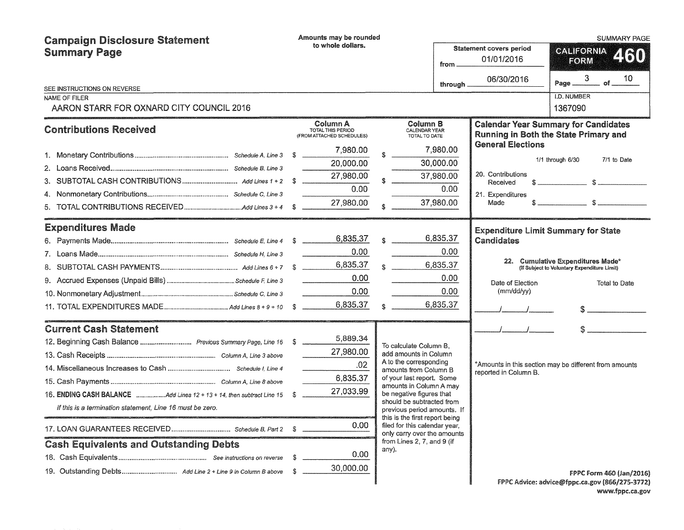| <b>Campaign Disclosure Statement</b><br><b>Summary Page</b>           |    | Amounts may be rounded<br>to whole dollars.<br>from        |       |                                                                                            |           |                                              | <b>SUMMARY PAGE</b>                                                                                                                                                                                                                                                                              |
|-----------------------------------------------------------------------|----|------------------------------------------------------------|-------|--------------------------------------------------------------------------------------------|-----------|----------------------------------------------|--------------------------------------------------------------------------------------------------------------------------------------------------------------------------------------------------------------------------------------------------------------------------------------------------|
|                                                                       |    |                                                            |       |                                                                                            |           | <b>Statement covers period</b><br>01/01/2016 | CALIFORNIA<br>2160<br>FORM                                                                                                                                                                                                                                                                       |
| SEE INSTRUCTIONS ON REVERSE                                           |    |                                                            |       |                                                                                            | through.  | 06/30/2016                                   | 3<br>10<br>$of_{-}$<br>Page _                                                                                                                                                                                                                                                                    |
| NAME OF FILER                                                         |    |                                                            |       |                                                                                            |           |                                              | I.D. NUMBER                                                                                                                                                                                                                                                                                      |
| AARON STARR FOR OXNARD CITY COUNCIL 2016                              |    |                                                            |       |                                                                                            |           |                                              | 1367090                                                                                                                                                                                                                                                                                          |
| <b>Contributions Received</b>                                         |    | Column A<br>TOTAL THIS PERIOD<br>(FROM ATTACHED SCHEDULES) |       | Column B<br><b>CALENDAR YEAR</b><br>TOTAL TO DATE                                          |           |                                              | <b>Calendar Year Summary for Candidates</b><br>Running in Both the State Primary and                                                                                                                                                                                                             |
|                                                                       |    | 7,980.00                                                   |       |                                                                                            | 7,980.00  | <b>General Elections</b>                     |                                                                                                                                                                                                                                                                                                  |
|                                                                       |    | 20,000.00                                                  |       |                                                                                            | 30,000.00 |                                              | 1/1 through 6/30<br>7/1 to Date                                                                                                                                                                                                                                                                  |
|                                                                       |    | 27,980.00                                                  |       |                                                                                            | 37,980.00 | 20. Contributions<br>Received                | $s \sim$ $s \sim$                                                                                                                                                                                                                                                                                |
|                                                                       |    | 0.00                                                       |       |                                                                                            | 0.00      | 21. Expenditures                             |                                                                                                                                                                                                                                                                                                  |
|                                                                       |    | 27,980.00                                                  |       | 37,980.00                                                                                  |           | Made                                         |                                                                                                                                                                                                                                                                                                  |
| <b>Expenditures Made</b>                                              |    |                                                            |       |                                                                                            |           | <b>Expenditure Limit Summary for State</b>   |                                                                                                                                                                                                                                                                                                  |
|                                                                       |    | 6,835.37                                                   |       |                                                                                            | 6,835.37  | <b>Candidates</b>                            |                                                                                                                                                                                                                                                                                                  |
|                                                                       |    | 0.00                                                       |       |                                                                                            | 0.00      |                                              |                                                                                                                                                                                                                                                                                                  |
|                                                                       |    | 6,835.37                                                   |       |                                                                                            | 6,835.37  |                                              | 22. Cumulative Expenditures Made*<br>(If Subject to Voluntary Expenditure Limit)                                                                                                                                                                                                                 |
|                                                                       |    | 0.00                                                       |       |                                                                                            | 0.00      | Date of Election                             | Total to Date                                                                                                                                                                                                                                                                                    |
|                                                                       |    | 0.00                                                       |       |                                                                                            | 0.00      | (mm/dd/yy)                                   |                                                                                                                                                                                                                                                                                                  |
|                                                                       |    | 6,835.37                                                   |       |                                                                                            | 6,835.37  |                                              | $\mathbb{S}$ and $\mathbb{S}$ and $\mathbb{S}$ and $\mathbb{S}$ and $\mathbb{S}$ and $\mathbb{S}$ and $\mathbb{S}$ and $\mathbb{S}$ and $\mathbb{S}$ and $\mathbb{S}$ and $\mathbb{S}$ and $\mathbb{S}$ and $\mathbb{S}$ and $\mathbb{S}$ and $\mathbb{S}$ and $\mathbb{S}$ and $\mathbb{S}$ and |
| <b>Current Cash Statement</b>                                         |    |                                                            |       |                                                                                            |           |                                              |                                                                                                                                                                                                                                                                                                  |
| 12. Beginning Cash Balance  Previous Summary Page, Line 16 \$         |    | 5,889.34                                                   |       | To calculate Column B.                                                                     |           |                                              |                                                                                                                                                                                                                                                                                                  |
|                                                                       |    | 27,980.00                                                  |       | add amounts in Column<br>A to the corresponding                                            |           |                                              |                                                                                                                                                                                                                                                                                                  |
|                                                                       |    | .02                                                        |       | amounts from Column B                                                                      |           | reported in Column B.                        | *Amounts in this section may be different from amounts                                                                                                                                                                                                                                           |
|                                                                       |    | 6,835.37                                                   |       | of your last report. Some<br>amounts in Column A may                                       |           |                                              |                                                                                                                                                                                                                                                                                                  |
| 16. ENDING CASH BALANCE Add Lines 12 + 13 + 14, then subtract Line 15 | S  | 27,033.99                                                  |       | be negative figures that                                                                   |           |                                              |                                                                                                                                                                                                                                                                                                  |
| If this is a termination statement, Line 16 must be zero.             |    |                                                            |       | should be subtracted from<br>previous period amounts. If<br>this is the first report being |           |                                              |                                                                                                                                                                                                                                                                                                  |
|                                                                       |    | 0.00                                                       |       | filed for this calendar year,<br>only carry over the amounts                               |           |                                              |                                                                                                                                                                                                                                                                                                  |
| <b>Cash Equivalents and Outstanding Debts</b>                         |    |                                                            | any). | from Lines 2, 7, and 9 (if                                                                 |           |                                              |                                                                                                                                                                                                                                                                                                  |
|                                                                       | s. | 0.00                                                       |       |                                                                                            |           |                                              |                                                                                                                                                                                                                                                                                                  |
| 19. Outstanding Debts Add Line 2 + Line 9 in Column B above           | S. | 30,000.00                                                  |       |                                                                                            |           |                                              | FPPC Form 460 (Jan/2016)                                                                                                                                                                                                                                                                         |
|                                                                       |    |                                                            |       |                                                                                            |           |                                              | FPPC Advice: advice@fppc.ca.gov (866/275-3772)                                                                                                                                                                                                                                                   |

FPPC Advice: advice@fppc.ca.gov (866/275-3772) www.fppc.ca.gov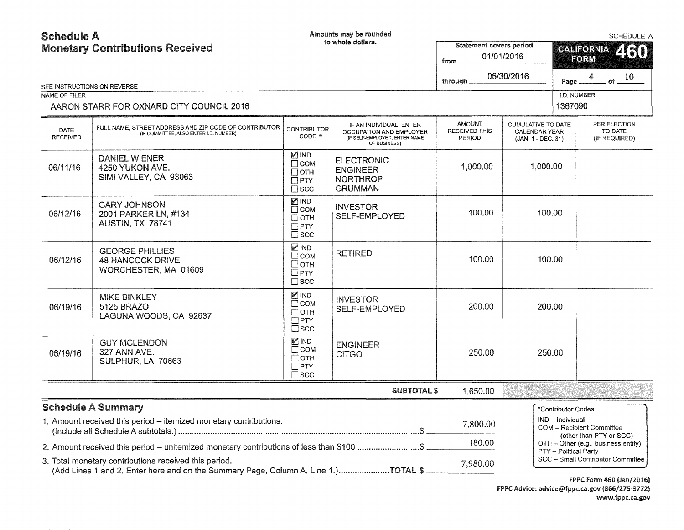# Schedule A and the Contract of the Contract of Amounts may be rounded

| <b>Monetary Contributions Received</b><br>SEE INSTRUCTIONS ON REVERSE |                                                                                                                                             |                                                                        | to whole dollars.                                                                                   | <b>Statement covers period</b><br>from<br>through | 01/01/2016<br>06/30/2016                                         | CALIFORNIA<br>460<br>FORM<br>4<br>. of $_{-}$ $10$<br>Page               |  |
|-----------------------------------------------------------------------|---------------------------------------------------------------------------------------------------------------------------------------------|------------------------------------------------------------------------|-----------------------------------------------------------------------------------------------------|---------------------------------------------------|------------------------------------------------------------------|--------------------------------------------------------------------------|--|
| NAME OF FILER                                                         |                                                                                                                                             |                                                                        |                                                                                                     |                                                   |                                                                  | I.D. NUMBER                                                              |  |
|                                                                       | AARON STARR FOR OXNARD CITY COUNCIL 2016                                                                                                    |                                                                        |                                                                                                     |                                                   |                                                                  | 1367090                                                                  |  |
| DATE<br><b>RECEIVED</b>                                               | FULL NAME, STREET ADDRESS AND ZIP CODE OF CONTRIBUTOR<br>(IF COMMITTEE, ALSO ENTER I.D. NUMBER)                                             | <b>CONTRIBUTOR</b><br>CODE *                                           | IF AN INDIVIDUAL, ENTER<br>OCCUPATION AND EMPLOYER<br>(IF SELF-EMPLOYED, ENTER NAME<br>OF BUSINESS) | <b>AMOUNT</b><br><b>RECEIVED THIS</b><br>PERIOD   | CUMULATIVE TO DATE<br><b>CALENDAR YEAR</b><br>(JAN. 1 - DEC. 31) | PER ELECTION<br>TO DATE<br>(IF REQUIRED)                                 |  |
| 06/11/16                                                              | <b>DANIEL WIENER</b><br>4250 YUKON AVE.<br>SIMI VALLEY, CA 93063                                                                            | <b>ZIND</b><br>$\Box$ COM<br>Потн<br>$\Box$ PTY<br>$\Box$ SCC          | <b>ELECTRONIC</b><br><b>ENGINEER</b><br><b>NORTHROP</b><br><b>GRUMMAN</b>                           | 1,000.00                                          | 1,000.00                                                         |                                                                          |  |
| 06/12/16                                                              | <b>GARY JOHNSON</b><br>2001 PARKER LN, #134<br>AUSTIN, TX 78741                                                                             | <b>ZIND</b><br>Псом<br>$\Box$ OTH<br>$\Box$ PTY<br>$\Box$ scc          | <b>INVESTOR</b><br><b>SELF-EMPLOYED</b>                                                             | 100.00                                            | 100.00                                                           |                                                                          |  |
| 06/12/16                                                              | <b>GEORGE PHILLIES</b><br>48 HANCOCK DRIVE<br>WORCHESTER, MA 01609                                                                          | <b>MIND</b><br>$\square$ COM<br>□отн<br>$\square$ PTY<br>$\square$ scc | <b>RETIRED</b>                                                                                      | 100.00                                            | 100.00                                                           |                                                                          |  |
| 06/19/16                                                              | <b>MIKE BINKLEY</b><br>5125 BRAZO<br>LAGUNA WOODS, CA 92637                                                                                 | ⊠IND<br>$\Box$ COM<br>$\Box$ OTH<br>$\Box$ PTY<br>$\sqcap$ scc         | <b>INVESTOR</b><br>SELF-EMPLOYED                                                                    | 200.00                                            | 200.00                                                           |                                                                          |  |
| 06/19/16                                                              | <b>GUY MCLENDON</b><br>327 ANN AVE.<br>SULPHUR, LA 70663                                                                                    | <b>MIND</b><br>$\Box$ COM<br>Потн<br>$\Box$ PTY<br>$\Box$ scc          | <b>ENGINEER</b><br><b>CITGO</b>                                                                     | 250.00                                            | 250.00                                                           |                                                                          |  |
|                                                                       |                                                                                                                                             |                                                                        | <b>SUBTOTAL \$</b>                                                                                  | 1,650.00                                          |                                                                  |                                                                          |  |
|                                                                       | <b>Schedule A Summary</b>                                                                                                                   |                                                                        |                                                                                                     |                                                   |                                                                  | *Contributor Codes                                                       |  |
|                                                                       | 1. Amount received this period - itemized monetary contributions.                                                                           |                                                                        |                                                                                                     | 7,800.00                                          |                                                                  | IND - Individual<br>COM - Recipient Committee<br>(other than PTY or SCC) |  |
|                                                                       | 2. Amount received this period - unitemized monetary contributions of less than \$100 \$                                                    |                                                                        |                                                                                                     | 180.00                                            |                                                                  | OTH - Other (e.g., business entity)                                      |  |
|                                                                       | 3. Total monetary contributions received this period.<br>(Add Lines 1 and 2. Enter here and on the Summary Page, Column A, Line 1.)TOTAL \$ |                                                                        |                                                                                                     | 7,980.00                                          |                                                                  | PTY - Political Party<br>SCC - Small Contributor Committee               |  |

f PPC form 460 (Jan/2016) FPPC Advice: advice@fppc.ca.gov (866/275-3772) www.fppc.ca.gov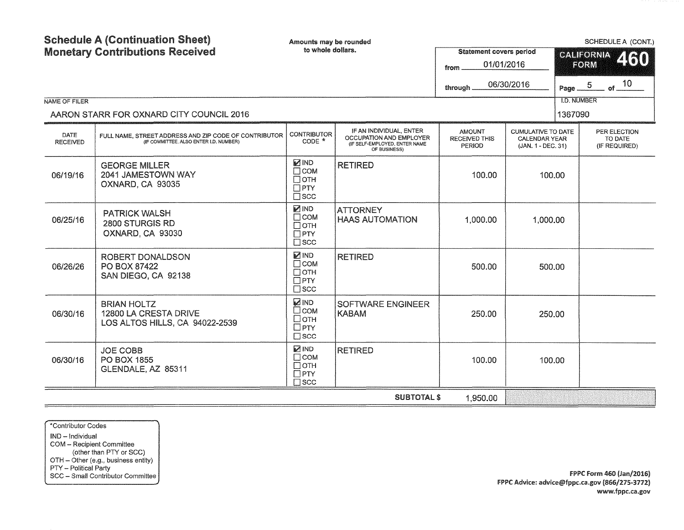| <b>Schedule A (Continuation Sheet)</b><br><b>Monetary Contributions Received</b><br>NAME OF FILER<br>AARON STARR FOR OXNARD CITY COUNCIL 2016 |                                                                                                 | Amounts may be rounded<br>to whole dollars.                            |                                                                                                     | <b>Statement covers period</b><br>01/01/2016<br>from<br>through | 06/30/2016                                                              | SCHEDULE A (CONT.)<br><b>CALIFORNIA</b><br>460<br>FORM<br>of $10$<br>Page $\underline{\hspace{1em}\phantom{1}}^{5}$<br><b>I.D. NUMBER</b><br>1367090 |                                          |
|-----------------------------------------------------------------------------------------------------------------------------------------------|-------------------------------------------------------------------------------------------------|------------------------------------------------------------------------|-----------------------------------------------------------------------------------------------------|-----------------------------------------------------------------|-------------------------------------------------------------------------|------------------------------------------------------------------------------------------------------------------------------------------------------|------------------------------------------|
| <b>DATE</b><br><b>RECEIVED</b>                                                                                                                | FULL NAME. STREET ADDRESS AND ZIP CODE OF CONTRIBUTOR<br>(IF COMMITTEE, ALSO ENTER I.D. NUMBER) | <b>CONTRIBUTOR</b><br>$CODE *$                                         | IF AN INDIVIDUAL, ENTER<br>OCCUPATION AND EMPLOYER<br>(IF SELF-EMPLOYED, ENTER NAME<br>OF BUSINESS) | <b>AMOUNT</b><br><b>RECEIVED THIS</b><br>PERIOD                 | <b>CUMULATIVE TO DATE</b><br><b>CALENDAR YEAR</b><br>(JAN. 1 - DEC. 31) |                                                                                                                                                      | PER ELECTION<br>TO DATE<br>(IF REQUIRED) |
| 06/19/16                                                                                                                                      | <b>GEORGE MILLER</b><br>2041 JAMESTOWN WAY<br>OXNARD, CA 93035                                  | <b>MIND</b><br>$\Box$ COM<br>$\Box$ OTH<br>$\Box$ PTY<br>$\square$ scc | <b>RETIRED</b>                                                                                      | 100.00                                                          | 100.00                                                                  |                                                                                                                                                      |                                          |
| 06/25/16                                                                                                                                      | <b>PATRICK WALSH</b><br>2800 STURGIS RD<br>OXNARD, CA 93030                                     | <b>MIND</b><br>$\Box$ COM<br>$\Box$ OTH<br>$\Box$ PTY<br>$\square$ scc | <b>ATTORNEY</b><br><b>HAAS AUTOMATION</b>                                                           | 1,000.00                                                        | 1,000.00                                                                |                                                                                                                                                      |                                          |
| 06/26/26                                                                                                                                      | <b>ROBERT DONALDSON</b><br>PO BOX 87422<br>SAN DIEGO, CA 92138                                  | <b>MIND</b><br>$\Box$ COM<br>$\Box$ OTH<br>$\Box$ PTY<br>$\square$ scc | <b>RETIRED</b>                                                                                      | 500.00                                                          | 500.00                                                                  |                                                                                                                                                      |                                          |
| 06/30/16                                                                                                                                      | <b>BRIAN HOLTZ</b><br>12800 LA CRESTA DRIVE<br>LOS ALTOS HILLS, CA 94022-2539                   | <b>MIND</b><br>$\square$ COM<br>□отн<br>$\square$ PTY<br>$\square$ scc | <b>SOFTWARE ENGINEER</b><br>KABAM                                                                   | 250.00                                                          | 250.00                                                                  |                                                                                                                                                      |                                          |
| 06/30/16                                                                                                                                      | <b>JOE COBB</b><br>PO BOX 1855<br>GLENDALE, AZ 85311                                            | <b>MIND</b><br>$\Box$ COM<br>$\Box$ OTH<br>$\square$ PTY<br>$\Box$ SCC | <b>RETIRED</b>                                                                                      | 100.00                                                          | 100.00                                                                  |                                                                                                                                                      |                                          |
|                                                                                                                                               |                                                                                                 |                                                                        | <b>SUBTOTAL \$</b>                                                                                  | 1,950.00                                                        |                                                                         |                                                                                                                                                      |                                          |

\*Contributor Codes IND - Individual COM - Recipient Committee (other than PTY or SCC) OTH - Other (e.g., business entity) PTY - Political Party SCC - Small Contributor Committee

..,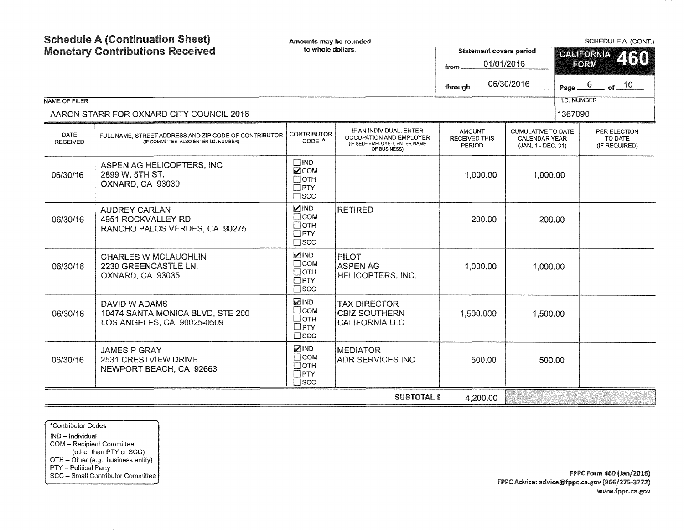| <b>Schedule A (Continuation Sheet)</b><br><b>Monetary Contributions Received</b><br>NAME OF FILER |                                                                                                 | Amounts may be rounded<br>to whole dollars.                               |                                                                                                     | <b>Statement covers period</b><br>01/01/2016<br>from<br>06/30/2016<br>through |                                                                         |         | SCHEDULE A (CONT.)<br><b>CALIFORNIA</b><br>460<br>FORM<br>$-$ of $ 10$<br>$6 \overline{6}$<br>Page _<br><b>I.D. NUMBER</b> |  |
|---------------------------------------------------------------------------------------------------|-------------------------------------------------------------------------------------------------|---------------------------------------------------------------------------|-----------------------------------------------------------------------------------------------------|-------------------------------------------------------------------------------|-------------------------------------------------------------------------|---------|----------------------------------------------------------------------------------------------------------------------------|--|
|                                                                                                   | AARON STARR FOR OXNARD CITY COUNCIL 2016                                                        |                                                                           |                                                                                                     |                                                                               |                                                                         | 1367090 |                                                                                                                            |  |
| <b>DATE</b><br><b>RECEIVED</b>                                                                    | FULL NAME, STREET ADDRESS AND ZIP CODE OF CONTRIBUTOR<br>(IF COMMITTEE, ALSO ENTER I.D. NUMBER) | <b>CONTRIBUTOR</b><br>$CODE *$                                            | IF AN INDIVIDUAL, ENTER<br>OCCUPATION AND EMPLOYER<br>(IF SELF-EMPLOYED, ENTER NAME<br>OF BUSINESS) | <b>AMOUNT</b><br><b>RECEIVED THIS</b><br>PERIOD                               | <b>CUMULATIVE TO DATE</b><br><b>CALENDAR YEAR</b><br>(JAN. 1 - DEC. 31) |         | PER ELECTION<br>TO DATE<br>(IF REQUIRED)                                                                                   |  |
| 06/30/16                                                                                          | ASPEN AG HELICOPTERS, INC<br>2899 W. 5TH ST.<br>OXNARD, CA 93030                                | $\Box$ IND<br><b>MCOM</b><br>$\Box$ OTH<br>$\Box$ PTY<br>$\square$ scc    |                                                                                                     | 1,000.00                                                                      | 1,000.00                                                                |         |                                                                                                                            |  |
| 06/30/16                                                                                          | <b>AUDREY CARLAN</b><br>4951 ROCKVALLEY RD.<br>RANCHO PALOS VERDES, CA 90275                    | ☑IND<br>$\Box$ COM<br>$\Box$ OTH<br>$\Box$ PTY<br>$\square$ scc           | <b>RETIRED</b>                                                                                      | 200.00                                                                        | 200.00                                                                  |         |                                                                                                                            |  |
| 06/30/16                                                                                          | <b>CHARLES W MCLAUGHLIN</b><br>2230 GREENCASTLE LN.<br>OXNARD, CA 93035                         | <b>MIND</b><br>$\Box$ COM<br>$\Box$ OTH<br>$\square$ PTY<br>$\square$ scc | <b>PILOT</b><br><b>ASPEN AG</b><br>HELICOPTERS, INC.                                                | 1,000.00                                                                      | 1,000.00                                                                |         |                                                                                                                            |  |
| 06/30/16                                                                                          | DAVID W ADAMS<br>10474 SANTA MONICA BLVD, STE 200<br>LOS ANGELES, CA 90025-0509                 | <b>ZIND</b><br>□сом<br>□отн<br>$\Box$ PTY<br>$\square$ scc                | <b>TAX DIRECTOR</b><br><b>CBIZ SOUTHERN</b><br><b>CALIFORNIA LLC</b>                                | 1,500.000                                                                     | 1,500.00                                                                |         |                                                                                                                            |  |
| 06/30/16                                                                                          | <b>JAMES P GRAY</b><br>2531 CRESTVIEW DRIVE<br>NEWPORT BEACH, CA 92663                          | <b>MIND</b><br>$\Box$ COM<br>$\Box$ OTH<br>$\Box$ PTY<br>$\sqcap$ scc     | <b>MEDIATOR</b><br><b>ADR SERVICES INC</b>                                                          | 500.00                                                                        | 500.00                                                                  |         |                                                                                                                            |  |
|                                                                                                   |                                                                                                 |                                                                           | <b>SUBTOTAL \$</b>                                                                                  | 4,200.00                                                                      |                                                                         |         |                                                                                                                            |  |

\*Contributor Codes IND - Individual COM - Recipient Committee (other than PTY or SCC) OTH - Other (e.g., business entity) PTY - Political Party SCC - Small Contributor Committee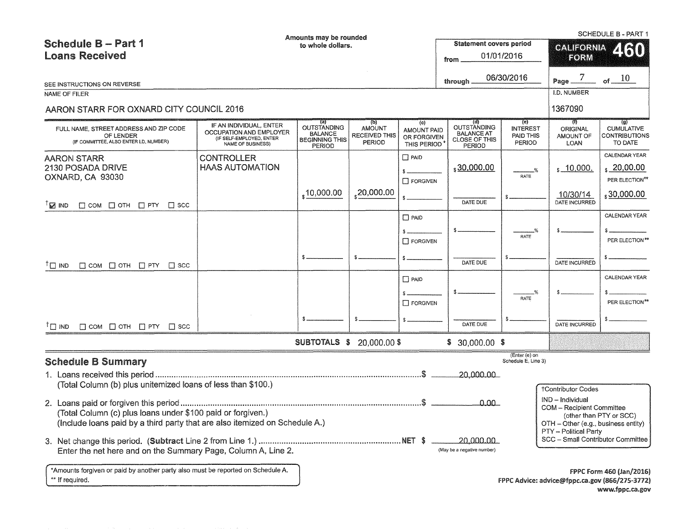|                                                                                                                                                                                                                              |                                                                                                            | Amounts may be rounded                                                         |                                                               |                                                         |                                                                           |                                                             |                                                                                                                                                   | SCHEDULE B - PART 1                                                    |  |
|------------------------------------------------------------------------------------------------------------------------------------------------------------------------------------------------------------------------------|------------------------------------------------------------------------------------------------------------|--------------------------------------------------------------------------------|---------------------------------------------------------------|---------------------------------------------------------|---------------------------------------------------------------------------|-------------------------------------------------------------|---------------------------------------------------------------------------------------------------------------------------------------------------|------------------------------------------------------------------------|--|
| Schedule B - Part 1                                                                                                                                                                                                          |                                                                                                            | to whole dollars.                                                              |                                                               |                                                         | <b>Statement covers period</b>                                            |                                                             | <b>CALIFORNIA</b>                                                                                                                                 | 460                                                                    |  |
| <b>Loans Received</b>                                                                                                                                                                                                        |                                                                                                            |                                                                                |                                                               |                                                         | from                                                                      | 01/01/2016                                                  | FORM                                                                                                                                              |                                                                        |  |
|                                                                                                                                                                                                                              |                                                                                                            |                                                                                |                                                               |                                                         |                                                                           | 06/30/2016                                                  | $\overline{7}$                                                                                                                                    | of $10$                                                                |  |
| SEE INSTRUCTIONS ON REVERSE                                                                                                                                                                                                  |                                                                                                            |                                                                                |                                                               |                                                         | through.                                                                  |                                                             | Page.                                                                                                                                             |                                                                        |  |
| NAME OF FILER                                                                                                                                                                                                                |                                                                                                            |                                                                                |                                                               |                                                         |                                                                           |                                                             | I.D. NUMBER                                                                                                                                       |                                                                        |  |
| AARON STARR FOR OXNARD CITY COUNCIL 2016                                                                                                                                                                                     |                                                                                                            |                                                                                |                                                               |                                                         |                                                                           |                                                             | 1367090                                                                                                                                           |                                                                        |  |
| FULL NAME, STREET ADDRESS AND ZIP CODE<br>OF LENDER<br>(IF COMMITTEE, ALSO ENTER I.D. NUMBER)                                                                                                                                | IF AN INDIVIDUAL, ENTER<br><b>OCCUPATION AND EMPLOYER</b><br>(IF SELF-EMPLOYED, ENTER<br>NAME OF BUSINESS) | (a)<br><b>OUTSTANDING</b><br><b>BALANCE</b><br><b>BEGINNING THIS</b><br>PERIOD | (p)<br><b>AMOUNT</b><br><b>RECEIVED THIS</b><br><b>PERIOD</b> | (c)<br><b>AMOUNT PAID</b><br>OR FORGIVEN<br>THIS PERIOD | (d)<br>OUTSTANDING<br><b>BALANCE AT</b><br><b>CLOSE OF THIS</b><br>PERIOD | (e)<br><b>INTEREST</b><br><b>PAID THIS</b><br><b>PERIOD</b> | (0)<br><b>ORIGINAL</b><br>AMOUNT OF<br>LOAN                                                                                                       | $\overline{S}$<br><b>CUMULATIVE</b><br><b>CONTRIBUTIONS</b><br>TO DATE |  |
| AARON STARR<br>2130 POSADA DRIVE<br>OXNARD, CA 93030                                                                                                                                                                         | <b>CONTROLLER</b><br><b>HAAS AUTOMATION</b>                                                                |                                                                                |                                                               | $\square$ PAID<br><b>T</b> FORGIVEN                     | \$30,000.00                                                               | $\frac{9}{6}$<br>RATE                                       | $s$ 10,000.                                                                                                                                       | <b>CALENDAR YEAR</b><br>$\frac{20,00.00}{2}$<br>PER ELECTION**         |  |
| $T_{\mathbb{Z}}$ IND<br>$\Box$ COM $\Box$ OTH $\Box$ PTY $\Box$ SCC                                                                                                                                                          |                                                                                                            | $\frac{1}{2}$ 10,000.00                                                        | ,20,000.00                                                    |                                                         | DATE DUE                                                                  |                                                             | <u>10/30/14</u><br>DATE INCURRED                                                                                                                  | $\frac{1}{2}30,000.00$                                                 |  |
|                                                                                                                                                                                                                              |                                                                                                            |                                                                                |                                                               | $\Box$ PAID<br>$\Box$ FORGIVEN                          |                                                                           | RATE                                                        |                                                                                                                                                   | <b>CALENDAR YEAR</b><br>PER ELECTION**                                 |  |
| $\mathsf{T} \square$ IND<br>$\Box$ COM $\Box$ OTH $\Box$ PTY $\Box$ SCC                                                                                                                                                      |                                                                                                            |                                                                                |                                                               |                                                         | DATE DUE                                                                  |                                                             | DATE INCURRED                                                                                                                                     |                                                                        |  |
|                                                                                                                                                                                                                              |                                                                                                            |                                                                                |                                                               | $\Box$ PAID<br><b>FORGIVEN</b>                          |                                                                           | RATE                                                        |                                                                                                                                                   | CALENDAR YEAR<br>PER ELECTION**                                        |  |
| $^{\dagger}$ ם חו<br>$\Box$ COM $\Box$ OTH $\Box$ PTY $\Box$ SCC                                                                                                                                                             |                                                                                                            |                                                                                |                                                               |                                                         | DATE DUE                                                                  |                                                             | DATE INCURRED                                                                                                                                     |                                                                        |  |
|                                                                                                                                                                                                                              |                                                                                                            | <b>SUBTOTALS \$ 20,000.00 \$</b>                                               |                                                               |                                                         | $$30,000.00$ \$                                                           |                                                             |                                                                                                                                                   |                                                                        |  |
| <b>Schedule B Summary</b>                                                                                                                                                                                                    |                                                                                                            |                                                                                |                                                               |                                                         |                                                                           | (Enter (e) on<br>Schedule E, Line 3)                        |                                                                                                                                                   |                                                                        |  |
|                                                                                                                                                                                                                              |                                                                                                            |                                                                                |                                                               |                                                         | 20 000 00                                                                 |                                                             |                                                                                                                                                   |                                                                        |  |
| (Total Column (b) plus unitemized loans of less than \$100.)<br><u>0.00 - </u><br>(Total Column (c) plus loans under \$100 paid or forgiven.)<br>(Include loans paid by a third party that are also itemized on Schedule A.) |                                                                                                            |                                                                                |                                                               |                                                         |                                                                           |                                                             | <b>†Contributor Codes</b><br>IND - Individual<br><b>COM</b> - Recipient Committee<br>OTH - Other (e.g., business entity)<br>PTY - Political Party | (other than PTY or SCC)                                                |  |
| Enter the net here and on the Summary Page, Column A, Line 2.                                                                                                                                                                |                                                                                                            |                                                                                |                                                               |                                                         | 20,000,00<br>(May be a negative number)                                   |                                                             | SCC - Small Contributor Committee                                                                                                                 |                                                                        |  |
| *Amounts forgiven or paid by another party also must be reported on Schedule A.<br>** If required.                                                                                                                           |                                                                                                            |                                                                                |                                                               |                                                         |                                                                           |                                                             | FPPC Advice: advice@fppc.ca.gov (866/275-3772)                                                                                                    | FPPC Form 460 (Jan/2016)                                               |  |

www.fppc.ca.gov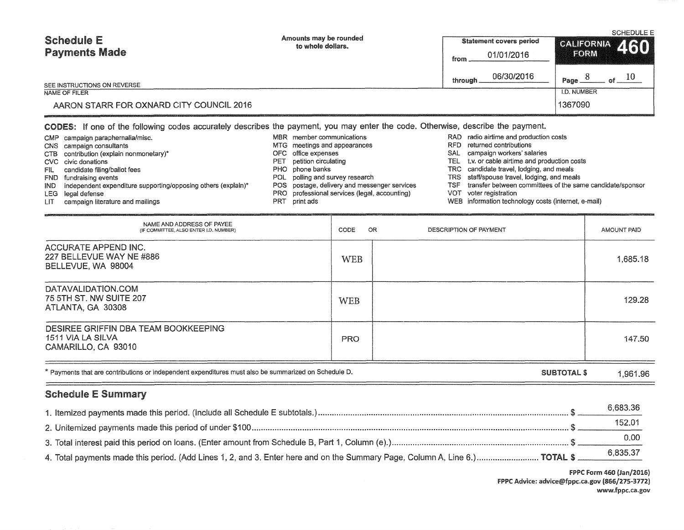| <b>Schedule E</b><br><b>Payments Made</b>    | Amounts may be rounded<br>to whole dollars.                                                                                                                  | <b>Statement covers period</b><br>01/01/2016<br>from | <b>SCHEDULE E</b><br>CALIFORNIA 460<br>HORM |
|----------------------------------------------|--------------------------------------------------------------------------------------------------------------------------------------------------------------|------------------------------------------------------|---------------------------------------------|
| SEE INSTRUCTIONS ON REVERSE<br>NAME OF FILER |                                                                                                                                                              | 06/30/2016<br>through.                               | Page<br><b>I.D. NUMBER</b>                  |
| AARON STARR FOR OXNARD CITY COUNCIL 2016     |                                                                                                                                                              |                                                      | 1367090                                     |
| CMP campaign paraphernalia/misc.             | CODES: If one of the following codes accurately describes the payment, you may enter the code. Otherwise, describe the payment.<br>MBR member communications | radio airtime and production costs<br>RAD            |                                             |

CMP campaign paraphernalia/misc. CNS campaign consultants CTB contribution (explain nonmonetary)\* CVC civic donations FIL candidate filing/ballot fees FND fundraising events IND independent expenditure supporting/opposing others (explain)\* LEG legal defense LIT campaign literature and mailings MTG meetings and appearances OFC office expenses PET petition circulating PHO phone banks POL polling and survey research POS postage, delivery and messenger services PRO professional services (legal, accounting) PRT print ads RFD returned contributions SAL campaign workers' salaries TEL t.v. or cable airtime and production costs TRC candidate travel, lodging, and meals TRS staff/spouse travel, lodging, and meals TSF transfer between committees of the same candidate/sponsor VOT voter registration WEB information technology costs (internet, e-mail)

| NAME AND ADDRESS OF PAYEE<br>(IF COMMITTEE, ALSO ENTER I.D. NUMBER)              | OR<br>CODE | DESCRIPTION OF PAYMENT | AMOUNT PAID |
|----------------------------------------------------------------------------------|------------|------------------------|-------------|
| ACCURATE APPEND INC.<br>227 BELLEVUE WAY NE #886<br>BELLEVUE, WA 98004           | <b>WEB</b> |                        | 1,685.18    |
| DATAVALIDATION.COM<br>75 5TH ST. NW SUITE 207<br>ATLANTA, GA 30308               | <b>WEB</b> |                        | 129.28      |
| DESIREE GRIFFIN DBA TEAM BOOKKEEPING<br>1511 VIA LA SILVA<br>CAMARILLO, CA 93010 | <b>PRO</b> |                        | 147.50      |

\* Payments that are contributions or independent expenditures must also be summarized on Schedule D.

# SUBTOTAL\$ 1,961.96

# Schedule E Summary

|                                                                                                                             | 6.683.36 |
|-----------------------------------------------------------------------------------------------------------------------------|----------|
|                                                                                                                             | 152.0    |
|                                                                                                                             | 0.00     |
| 4. Total payments made this period. (Add Lines 1, 2, and 3. Enter here and on the Summary Page, Column A, Line 6.) TOTAL \$ | 6,835.37 |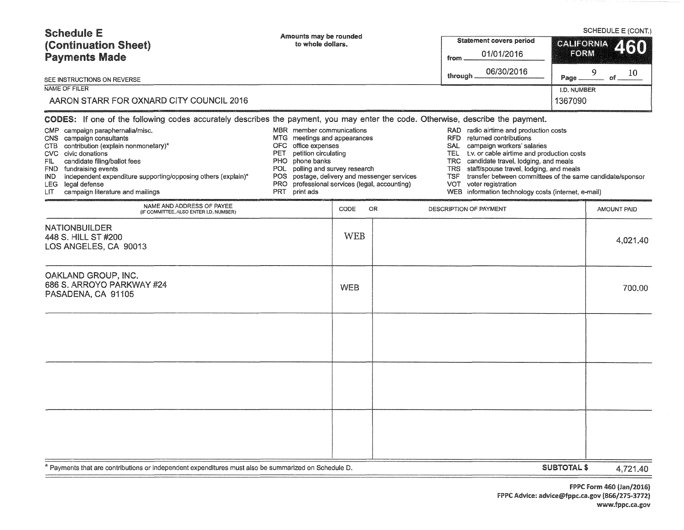| <b>Schedule E</b><br>(Continuation Sheet)                                                                                                                                                                                                                                                                                                | Amounts may be rounded<br>to whole dollars.                                                                                                                                                                                                                                                    |            |           |                                                                                                 | SCHEDULE E (CONT.)<br><b>Statement covers period</b><br><b>CALIFORNIA</b><br>460                                                                                                                                                                                                                                                                                      |                        |               |  |
|------------------------------------------------------------------------------------------------------------------------------------------------------------------------------------------------------------------------------------------------------------------------------------------------------------------------------------------|------------------------------------------------------------------------------------------------------------------------------------------------------------------------------------------------------------------------------------------------------------------------------------------------|------------|-----------|-------------------------------------------------------------------------------------------------|-----------------------------------------------------------------------------------------------------------------------------------------------------------------------------------------------------------------------------------------------------------------------------------------------------------------------------------------------------------------------|------------------------|---------------|--|
| <b>Payments Made</b>                                                                                                                                                                                                                                                                                                                     |                                                                                                                                                                                                                                                                                                |            |           | from                                                                                            | 01/01/2016                                                                                                                                                                                                                                                                                                                                                            |                        | <b>FORM</b>   |  |
| SEE INSTRUCTIONS ON REVERSE                                                                                                                                                                                                                                                                                                              |                                                                                                                                                                                                                                                                                                |            |           | through                                                                                         | 06/30/2016                                                                                                                                                                                                                                                                                                                                                            | Page                   | 9<br>10<br>of |  |
| NAME OF FILER<br>AARON STARR FOR OXNARD CITY COUNCIL 2016                                                                                                                                                                                                                                                                                |                                                                                                                                                                                                                                                                                                |            |           |                                                                                                 |                                                                                                                                                                                                                                                                                                                                                                       | I.D. NUMBER<br>1367090 |               |  |
| CODES: If one of the following codes accurately describes the payment, you may enter the code. Otherwise, describe the payment.                                                                                                                                                                                                          |                                                                                                                                                                                                                                                                                                |            |           |                                                                                                 |                                                                                                                                                                                                                                                                                                                                                                       |                        |               |  |
| CMP campaign paraphernalia/misc.<br>CNS campaign consultants<br>CTB contribution (explain nonmonetary)*<br>CVC civic donations<br>candidate filing/ballot fees<br>FIL<br>FND fundraising events<br>independent expenditure supporting/opposing others (explain)*<br>IND.<br>LEG legal defense<br>LIT<br>campaign literature and mailings | MBR member communications<br>MTG meetings and appearances<br>OFC office expenses<br>petition circulating<br>PET<br>PHO phone banks<br>POL polling and survey research<br>postage, delivery and messenger services<br>POS.<br>PRO professional services (legal, accounting)<br>PRT<br>print ads |            |           | <b>RFD</b><br><b>SAL</b><br>TEL.<br><b>TRC</b><br><b>TRS</b><br><b>TSF</b><br>VOT<br><b>WEB</b> | RAD radio airtime and production costs<br>returned contributions<br>campaign workers' salaries<br>t.v. or cable airtime and production costs<br>candidate travel, lodging, and meals<br>staff/spouse travel, lodging, and meals<br>transfer between committees of the same candidate/sponsor<br>voter registration<br>information technology costs (internet, e-mail) |                        |               |  |
| NAME AND ADDRESS OF PAYEE<br>(IF COMMITTEE, ALSO ENTER I.D. NUMBER)                                                                                                                                                                                                                                                                      |                                                                                                                                                                                                                                                                                                | CODE       | <b>OR</b> |                                                                                                 | DESCRIPTION OF PAYMENT                                                                                                                                                                                                                                                                                                                                                |                        | AMOUNT PAID   |  |
| <b>NATIONBUILDER</b><br>448 S. HILL ST #200<br>LOS ANGELES, CA 90013                                                                                                                                                                                                                                                                     |                                                                                                                                                                                                                                                                                                | <b>WEB</b> |           |                                                                                                 |                                                                                                                                                                                                                                                                                                                                                                       |                        | 4,021.40      |  |
| OAKLAND GROUP, INC.<br>686 S. ARROYO PARKWAY #24<br>PASADENA, CA 91105                                                                                                                                                                                                                                                                   |                                                                                                                                                                                                                                                                                                | <b>WEB</b> |           |                                                                                                 |                                                                                                                                                                                                                                                                                                                                                                       |                        | 700.00        |  |
|                                                                                                                                                                                                                                                                                                                                          |                                                                                                                                                                                                                                                                                                |            |           |                                                                                                 |                                                                                                                                                                                                                                                                                                                                                                       |                        |               |  |
|                                                                                                                                                                                                                                                                                                                                          |                                                                                                                                                                                                                                                                                                |            |           |                                                                                                 |                                                                                                                                                                                                                                                                                                                                                                       |                        |               |  |
|                                                                                                                                                                                                                                                                                                                                          |                                                                                                                                                                                                                                                                                                |            |           |                                                                                                 |                                                                                                                                                                                                                                                                                                                                                                       |                        |               |  |
| Payments that are contributions or independent expenditures must also be summarized on Schedule D.                                                                                                                                                                                                                                       |                                                                                                                                                                                                                                                                                                |            |           |                                                                                                 |                                                                                                                                                                                                                                                                                                                                                                       | <b>SUBTOTAL \$</b>     | 4.721.40      |  |